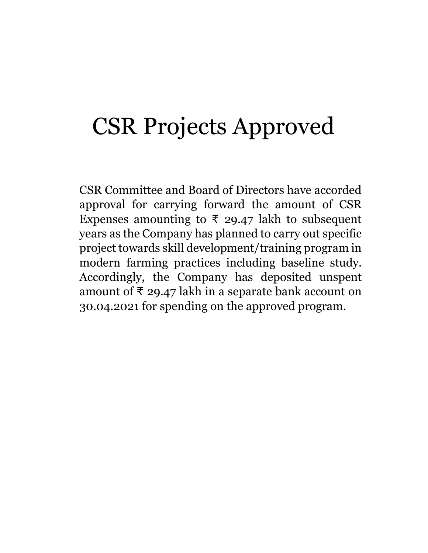# CSR Projects Approved

CSR Committee and Board of Directors have accorded approval for carrying forward the amount of CSR Expenses amounting to ₹ 29.47 lakh to subsequent years as the Company has planned to carry out specific project towards skill development/training program in modern farming practices including baseline study. Accordingly, the Company has deposited unspent amount of  $\bar{x}$  29.47 lakh in a separate bank account on 30.04.2021 for spending on the approved program.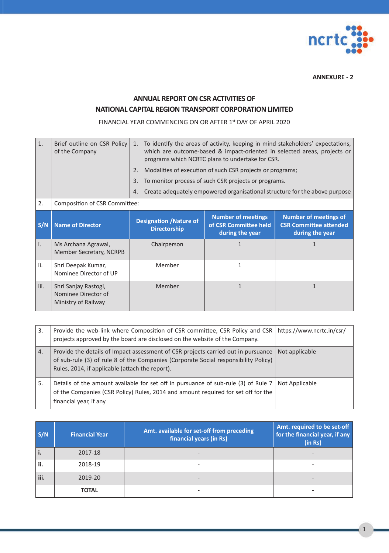

**ANNEXURE - 2**

## **ANNUAL REPORT ON CSR ACTIVITIES OF NATIONAL CAPITAL REGION TRANSPORT CORPORATION LIMITED**

FINANCIAL YEAR COMMENCING ON OR AFTER 1st DAY OF APRIL 2020

| $\mathbf{1}$ . | Brief outline on CSR Policy<br>of the Company                      | 1.                                                    | To identify the areas of activity, keeping in mind stakeholders' expectations,<br>which are outcome-based & impact-oriented in selected areas, projects or<br>programs which NCRTC plans to undertake for CSR. |                                                                                  |  |  |  |  |
|----------------|--------------------------------------------------------------------|-------------------------------------------------------|----------------------------------------------------------------------------------------------------------------------------------------------------------------------------------------------------------------|----------------------------------------------------------------------------------|--|--|--|--|
|                |                                                                    | 2.                                                    | Modalities of execution of such CSR projects or programs;                                                                                                                                                      |                                                                                  |  |  |  |  |
|                |                                                                    | 3.                                                    | To monitor process of such CSR projects or programs.                                                                                                                                                           |                                                                                  |  |  |  |  |
|                |                                                                    | 4.                                                    |                                                                                                                                                                                                                | Create adequately empowered organisational structure for the above purpose       |  |  |  |  |
| 2.             | Composition of CSR Committee:                                      |                                                       |                                                                                                                                                                                                                |                                                                                  |  |  |  |  |
| S/N            | <b>Name of Director</b>                                            | <b>Designation / Nature of</b><br><b>Directorship</b> | <b>Number of meetings</b><br>of CSR Committee held<br>during the year                                                                                                                                          | <b>Number of meetings of</b><br><b>CSR Committee attended</b><br>during the year |  |  |  |  |
| i.             | Ms Archana Agrawal,<br>Member Secretary, NCRPB                     | Chairperson                                           | 1                                                                                                                                                                                                              | 1                                                                                |  |  |  |  |
| ii.            | Shri Deepak Kumar,<br>Nominee Director of UP                       | Member                                                | 1                                                                                                                                                                                                              |                                                                                  |  |  |  |  |
| iii.           | Shri Sanjay Rastogi,<br>Nominee Director of<br>Ministry of Railway | Member                                                | $\mathbf{1}$                                                                                                                                                                                                   | $\mathbf{1}$                                                                     |  |  |  |  |

| 3. | Provide the web-link where Composition of CSR committee, CSR Policy and CSR<br>projects approved by the board are disclosed on the website of the Company.                                                                  | https://www.ncrtc.in/csr/ |
|----|-----------------------------------------------------------------------------------------------------------------------------------------------------------------------------------------------------------------------------|---------------------------|
| 4. | Provide the details of Impact assessment of CSR projects carried out in pursuance<br>of sub-rule (3) of rule 8 of the Companies (Corporate Social responsibility Policy)<br>Rules, 2014, if applicable (attach the report). | Not applicable            |
| .5 | Details of the amount available for set off in pursuance of sub-rule (3) of Rule 7 Not Applicable<br>of the Companies (CSR Policy) Rules, 2014 and amount required for set off for the<br>financial year, if any            |                           |

| S/N  | <b>Financial Year</b> | Amt. available for set-off from preceding<br>financial years (in Rs) | Amt. required to be set-off<br>for the financial year, if any<br>(in Rs) |
|------|-----------------------|----------------------------------------------------------------------|--------------------------------------------------------------------------|
| i.   | 2017-18               | $\qquad \qquad \blacksquare$                                         |                                                                          |
| ii.  | 2018-19               | -                                                                    |                                                                          |
| iii. | 2019-20               | -                                                                    |                                                                          |
|      | <b>TOTAL</b>          | -                                                                    |                                                                          |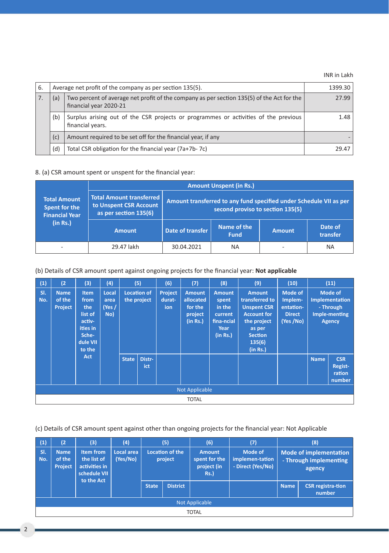INR in Lakh

| 6. |     | Average net profit of the company as per section 135(5).                                                            |       |  |  |  |  |  |
|----|-----|---------------------------------------------------------------------------------------------------------------------|-------|--|--|--|--|--|
|    | (a) | Two percent of average net profit of the company as per section 135(5) of the Act for the<br>financial year 2020-21 |       |  |  |  |  |  |
|    | (b) | Surplus arising out of the CSR projects or programmes or activities of the previous<br>financial years.             | 1.48  |  |  |  |  |  |
|    | (c) | Amount required to be set off for the financial year, if any                                                        |       |  |  |  |  |  |
|    | (d) | Total CSR obligation for the financial year (7a+7b-7c)                                                              | 29.47 |  |  |  |  |  |

### 8. (a) CSR amount spent or unspent for the financial year:

|                                                               | <b>Amount Unspent (in Rs.)</b>                                              |                                                                                                        |                            |               |                     |  |  |  |  |
|---------------------------------------------------------------|-----------------------------------------------------------------------------|--------------------------------------------------------------------------------------------------------|----------------------------|---------------|---------------------|--|--|--|--|
| <b>Total Amount</b><br>Spent for the<br><b>Financial Year</b> | Total Amount transferred<br>to Unspent CSR Account<br>as per section 135(6) | Amount transferred to any fund specified under Schedule VII as per<br>second proviso to section 135(5) |                            |               |                     |  |  |  |  |
| (in Rs.)                                                      | <b>Amount</b>                                                               | Date of transfer                                                                                       | Name of the<br><b>Fund</b> | <b>Amount</b> | Date of<br>transfer |  |  |  |  |
| -                                                             | 29.47 lakh                                                                  | 30.04.2021                                                                                             | <b>NA</b>                  | -             | <b>NA</b>           |  |  |  |  |

(b) Details of CSR amount spent against ongoing projects for the financial year: **Not applicable**

| (1)        | (2)                                     | (3)                                                                                                      | (4)                            |              | $\overline{(5)}$                  | (6)                      | (7)                                                          | (8)                                                                           | (9)                                                                                                                                          | (10)                                                                |             | (11)                                                                            |
|------------|-----------------------------------------|----------------------------------------------------------------------------------------------------------|--------------------------------|--------------|-----------------------------------|--------------------------|--------------------------------------------------------------|-------------------------------------------------------------------------------|----------------------------------------------------------------------------------------------------------------------------------------------|---------------------------------------------------------------------|-------------|---------------------------------------------------------------------------------|
| SI.<br>No. | <b>Name</b><br>of the<br><b>Project</b> | <b>Item</b><br>from<br>the<br>list of<br>activ-<br>ities in<br>Sche-<br>dule VII<br>to the<br><b>Act</b> | Local<br>area<br>(Yes /<br>No) |              | <b>Location of</b><br>the project | Project<br>durat-<br>ion | <b>Amount</b><br>allocated<br>for the<br>project<br>(in Rs.) | <b>Amount</b><br>spent<br>in the<br>current<br>fina-ncial<br>Year<br>(in Rs.) | <b>Amount</b><br>transferred to<br><b>Unspent CSR</b><br><b>Account for</b><br>the project<br>as per<br><b>Section</b><br>135(6)<br>(in Rs.) | <b>Mode of</b><br>Implem-<br>entation-<br><b>Direct</b><br>(Yes/No) |             | <b>Mode of</b><br>Implementation<br>- Through<br>Imple-menting<br><b>Agency</b> |
|            |                                         |                                                                                                          |                                | <b>State</b> | Distr-<br>ict                     |                          |                                                              |                                                                               |                                                                                                                                              |                                                                     | <b>Name</b> | <b>CSR</b><br>Regist-<br>ration<br>number                                       |
|            | Not Applicable                          |                                                                                                          |                                |              |                                   |                          |                                                              |                                                                               |                                                                                                                                              |                                                                     |             |                                                                                 |
|            |                                         |                                                                                                          |                                |              |                                   |                          | <b>TOTAL</b>                                                 |                                                                               |                                                                                                                                              |                                                                     |             |                                                                                 |

(c) Details of CSR amount spent against other than ongoing projects for the financial year: Not Applicable

| (1)        | (2)                                     | (3)                                                                     | (4)                    |                                   | (5)             | (6)                                                          | (7)                                             |             | (8)                                                               |  |  |
|------------|-----------------------------------------|-------------------------------------------------------------------------|------------------------|-----------------------------------|-----------------|--------------------------------------------------------------|-------------------------------------------------|-------------|-------------------------------------------------------------------|--|--|
| SI.<br>No. | <b>Name</b><br>of the<br><b>Project</b> | Item from<br>the list of<br>activities in<br>schedule VII<br>to the Act | Local area<br>(Yes/No) | <b>Location of the</b><br>project |                 | <b>Amount</b><br>spent for the<br>project (in<br><b>Rs.)</b> | Mode of<br>implemen-tation<br>- Direct (Yes/No) |             | <b>Mode of implementation</b><br>- Through implementing<br>agency |  |  |
|            |                                         |                                                                         |                        | <b>State</b>                      | <b>District</b> |                                                              |                                                 | <b>Name</b> | <b>CSR</b> registra-tion<br>number                                |  |  |
|            | Not Applicable                          |                                                                         |                        |                                   |                 |                                                              |                                                 |             |                                                                   |  |  |
|            | <b>TOTAL</b>                            |                                                                         |                        |                                   |                 |                                                              |                                                 |             |                                                                   |  |  |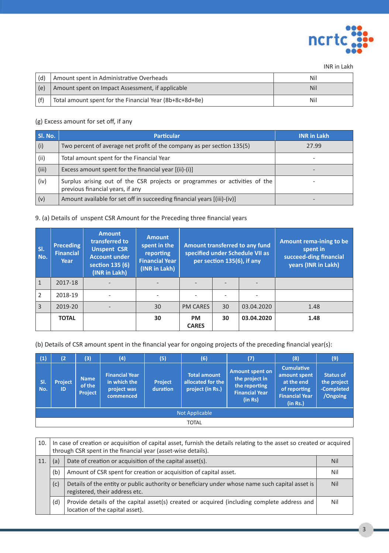

INR in Lakh

| (d) | Amount spent in Administrative Overheads                | Nil |
|-----|---------------------------------------------------------|-----|
| (e) | Amount spent on Impact Assessment, if applicable        | Nil |
|     | Total amount spent for the Financial Year (8b+8c+8d+8e) | Nil |

## (g) Excess amount for set off, if any

| Sl. No. | <b>Particular</b>                                                                                              | <b>INR in Lakh</b> |
|---------|----------------------------------------------------------------------------------------------------------------|--------------------|
| (i)     | Two percent of average net profit of the company as per section 135(5)                                         | 27.99              |
| (ii)    | Total amount spent for the Financial Year                                                                      |                    |
| (iii)   | Excess amount spent for the financial year [(ii)-(i)]                                                          |                    |
| (iv)    | Surplus arising out of the CSR projects or programmes or activities of the<br>previous financial years, if any |                    |
| (v)     | Amount available for set off in succeeding financial years [(iii)-(iv)]                                        |                    |

### 9. (a) Details of unspent CSR Amount for the Preceding three financial years

| SI.<br>No.     | <b>Preceding</b><br><b>Financial</b><br>Year | <b>Amount</b><br>transferred to<br><b>Unspent CSR</b><br><b>Account under</b><br>section 135 (6)<br>(INR in Lakh) | <b>Amount</b><br>spent in the<br>reporting<br><b>Financial Year</b><br>(INR in Lakh) | Amount transferred to any fund<br>specified under Schedule VII as<br>per section 135(6), if any |    |            | Amount rema-ining to be<br>spent in<br>succeed-ding financial<br>years (INR in Lakh) |
|----------------|----------------------------------------------|-------------------------------------------------------------------------------------------------------------------|--------------------------------------------------------------------------------------|-------------------------------------------------------------------------------------------------|----|------------|--------------------------------------------------------------------------------------|
| $\mathbf{1}$   | 2017-18                                      |                                                                                                                   |                                                                                      |                                                                                                 |    |            |                                                                                      |
| $\overline{2}$ | 2018-19                                      | ٠                                                                                                                 |                                                                                      |                                                                                                 |    |            |                                                                                      |
| 3              | 2019-20                                      | ۰                                                                                                                 | 30                                                                                   | <b>PM CARES</b>                                                                                 | 30 | 03.04.2020 | 1.48                                                                                 |
|                | <b>TOTAL</b>                                 |                                                                                                                   | 30                                                                                   | <b>PM</b><br><b>CARES</b>                                                                       | 30 | 03.04.2020 | 1.48                                                                                 |

(b) Details of CSR amount spent in the financial year for ongoing projects of the preceding financial year(s):

| (1)            | (2)                  | (3)                                     | (4)                                                               | (5)                        | (6)                                                          | (7)                                                                                           | (8)                                                                                                  | (9)                                                       |  |  |  |
|----------------|----------------------|-----------------------------------------|-------------------------------------------------------------------|----------------------------|--------------------------------------------------------------|-----------------------------------------------------------------------------------------------|------------------------------------------------------------------------------------------------------|-----------------------------------------------------------|--|--|--|
| SI.<br>No.     | <b>Project</b><br>ID | <b>Name</b><br>of the<br><b>Project</b> | <b>Financial Year</b><br>in which the<br>project was<br>commenced | <b>Project</b><br>duration | <b>Total amount</b><br>allocated for the<br>project (in Rs.) | <b>Amount spent on</b><br>the project in<br>the reporting<br><b>Financial Year</b><br>(in Rs) | <b>Cumulative</b><br>amount spent<br>at the end<br>of reporting<br><b>Financial Year</b><br>(in Rs.) | <b>Status of</b><br>the project<br>-Completed<br>/Ongoing |  |  |  |
| Not Applicable |                      |                                         |                                                                   |                            |                                                              |                                                                                               |                                                                                                      |                                                           |  |  |  |
|                | <b>TOTAL</b>         |                                         |                                                                   |                            |                                                              |                                                                                               |                                                                                                      |                                                           |  |  |  |

| 10. | In case of creation or acquisition of capital asset, furnish the details relating to the asset so created or acquired<br>through CSR spent in the financial year (asset-wise details). |                                                                                                                                   |            |  |  |  |  |
|-----|----------------------------------------------------------------------------------------------------------------------------------------------------------------------------------------|-----------------------------------------------------------------------------------------------------------------------------------|------------|--|--|--|--|
| 11. | (a)                                                                                                                                                                                    | Date of creation or acquisition of the capital asset(s).                                                                          | Nil        |  |  |  |  |
|     | (b)                                                                                                                                                                                    | Amount of CSR spent for creation or acquisition of capital asset.                                                                 | Nil        |  |  |  |  |
|     | (c)                                                                                                                                                                                    | Details of the entity or public authority or beneficiary under whose name such capital asset is<br>registered, their address etc. | <b>Nil</b> |  |  |  |  |
|     | (d)                                                                                                                                                                                    | Provide details of the capital asset(s) created or acquired (including complete address and<br>location of the capital asset).    | <b>Nil</b> |  |  |  |  |